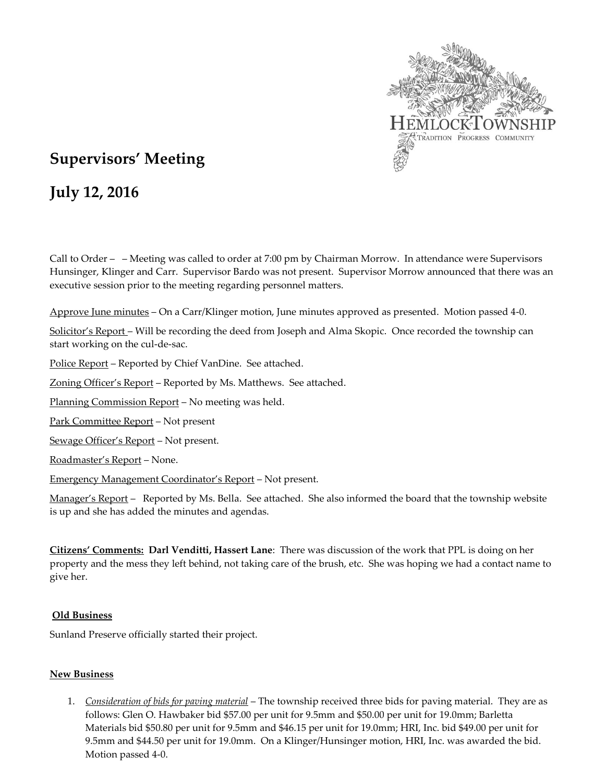

## **Supervisors' Meeting**

# **July 12, 2016**

Call to Order – – Meeting was called to order at 7:00 pm by Chairman Morrow. In attendance were Supervisors Hunsinger, Klinger and Carr. Supervisor Bardo was not present. Supervisor Morrow announced that there was an executive session prior to the meeting regarding personnel matters.

Approve June minutes – On a Carr/Klinger motion, June minutes approved as presented. Motion passed 4-0.

Solicitor's Report – Will be recording the deed from Joseph and Alma Skopic. Once recorded the township can start working on the cul-de-sac.

Police Report – Reported by Chief VanDine. See attached.

Zoning Officer's Report – Reported by Ms. Matthews. See attached.

Planning Commission Report – No meeting was held.

Park Committee Report – Not present

Sewage Officer's Report – Not present.

Roadmaster's Report – None.

Emergency Management Coordinator's Report – Not present.

Manager's Report - Reported by Ms. Bella. See attached. She also informed the board that the township website is up and she has added the minutes and agendas.

**Citizens' Comments: Darl Venditti, Hassert Lane**: There was discussion of the work that PPL is doing on her property and the mess they left behind, not taking care of the brush, etc. She was hoping we had a contact name to give her.

#### **Old Business**

Sunland Preserve officially started their project.

#### **New Business**

1. *Consideration of bids for paving material* – The township received three bids for paving material. They are as follows: Glen O. Hawbaker bid \$57.00 per unit for 9.5mm and \$50.00 per unit for 19.0mm; Barletta Materials bid \$50.80 per unit for 9.5mm and \$46.15 per unit for 19.0mm; HRI, Inc. bid \$49.00 per unit for 9.5mm and \$44.50 per unit for 19.0mm. On a Klinger/Hunsinger motion, HRI, Inc. was awarded the bid. Motion passed 4-0.